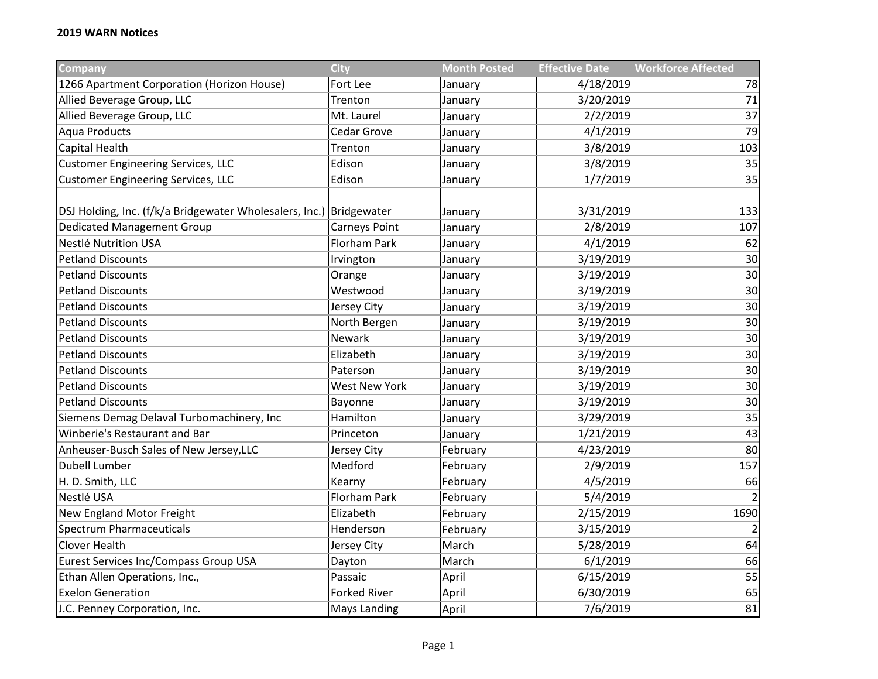| Company                                                             | <b>City</b>          | <b>Month Posted</b> | <b>Effective Date</b> | <b>Workforce Affected</b> |
|---------------------------------------------------------------------|----------------------|---------------------|-----------------------|---------------------------|
| 1266 Apartment Corporation (Horizon House)                          | Fort Lee             | January             | 4/18/2019             | 78                        |
| Allied Beverage Group, LLC                                          | Trenton              | January             | 3/20/2019             | 71                        |
| Allied Beverage Group, LLC                                          | Mt. Laurel           | January             | 2/2/2019              | 37                        |
| <b>Aqua Products</b>                                                | Cedar Grove          | January             | 4/1/2019              | 79                        |
| Capital Health                                                      | Trenton              | January             | 3/8/2019              | 103                       |
| <b>Customer Engineering Services, LLC</b>                           | Edison               | January             | 3/8/2019              | 35                        |
| <b>Customer Engineering Services, LLC</b>                           | Edison               | January             | 1/7/2019              | 35                        |
| DSJ Holding, Inc. (f/k/a Bridgewater Wholesalers, Inc.) Bridgewater |                      | January             | 3/31/2019             | 133                       |
| <b>Dedicated Management Group</b>                                   | Carneys Point        | January             | 2/8/2019              | 107                       |
| Nestlé Nutrition USA                                                | Florham Park         | January             | 4/1/2019              | 62                        |
| <b>Petland Discounts</b>                                            | Irvington            | January             | 3/19/2019             | 30                        |
| <b>Petland Discounts</b>                                            | Orange               | January             | 3/19/2019             | 30                        |
| <b>Petland Discounts</b>                                            | Westwood             | January             | 3/19/2019             | 30                        |
| <b>Petland Discounts</b>                                            | Jersey City          | January             | 3/19/2019             | 30                        |
| <b>Petland Discounts</b>                                            | North Bergen         | January             | 3/19/2019             | 30                        |
| <b>Petland Discounts</b>                                            | Newark               | January             | 3/19/2019             | 30                        |
| <b>Petland Discounts</b>                                            | Elizabeth            | January             | 3/19/2019             | 30                        |
| <b>Petland Discounts</b>                                            | Paterson             | January             | 3/19/2019             | 30                        |
| <b>Petland Discounts</b>                                            | <b>West New York</b> | January             | 3/19/2019             | 30                        |
| <b>Petland Discounts</b>                                            | Bayonne              | January             | 3/19/2019             | 30                        |
| Siemens Demag Delaval Turbomachinery, Inc                           | Hamilton             | January             | 3/29/2019             | 35                        |
| Winberie's Restaurant and Bar                                       | Princeton            | January             | 1/21/2019             | 43                        |
| Anheuser-Busch Sales of New Jersey, LLC                             | Jersey City          | February            | 4/23/2019             | 80                        |
| Dubell Lumber                                                       | Medford              | February            | 2/9/2019              | 157                       |
| H. D. Smith, LLC                                                    | Kearny               | February            | 4/5/2019              | 66                        |
| Nestlé USA                                                          | <b>Florham Park</b>  | February            | 5/4/2019              |                           |
| New England Motor Freight                                           | Elizabeth            | February            | 2/15/2019             | 1690                      |
| <b>Spectrum Pharmaceuticals</b>                                     | Henderson            | February            | 3/15/2019             |                           |
| <b>Clover Health</b>                                                | Jersey City          | March               | 5/28/2019             | 64                        |
| Eurest Services Inc/Compass Group USA                               | Dayton               | March               | 6/1/2019              | 66                        |
| Ethan Allen Operations, Inc.,                                       | Passaic              | April               | 6/15/2019             | 55                        |
| <b>Exelon Generation</b>                                            | <b>Forked River</b>  | April               | 6/30/2019             | 65                        |
| J.C. Penney Corporation, Inc.                                       | Mays Landing         | April               | 7/6/2019              | 81                        |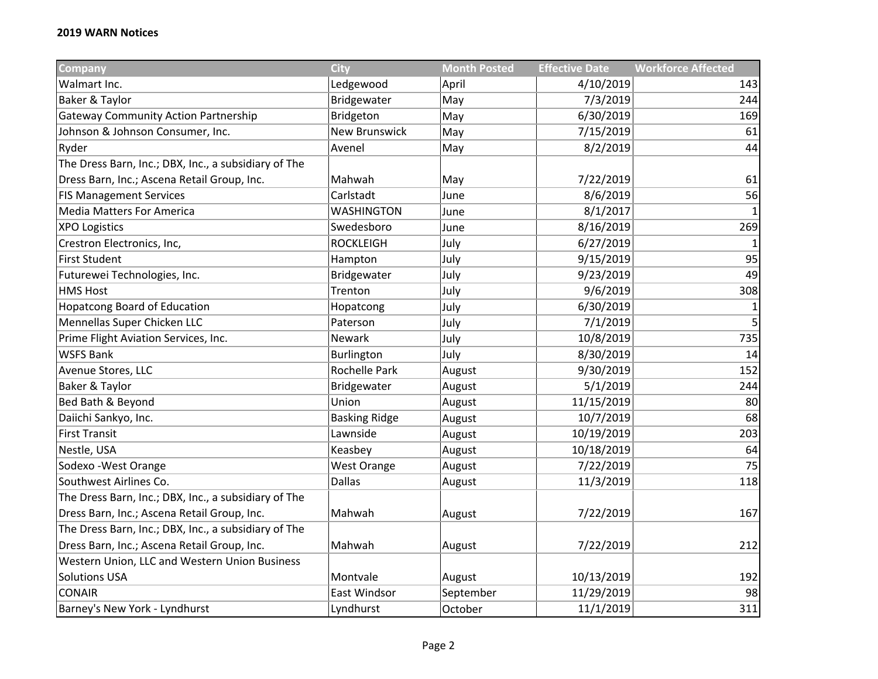| <b>Company</b>                                       | <b>City</b>          | <b>Month Posted</b> | <b>Effective Date</b> | <b>Workforce Affected</b> |
|------------------------------------------------------|----------------------|---------------------|-----------------------|---------------------------|
| Walmart Inc.                                         | Ledgewood            | April               | 4/10/2019             | 143                       |
| Baker & Taylor                                       | Bridgewater          | May                 | 7/3/2019              | 244                       |
| <b>Gateway Community Action Partnership</b>          | Bridgeton            | May                 | 6/30/2019             | 169                       |
| Johnson & Johnson Consumer, Inc.                     | <b>New Brunswick</b> | May                 | 7/15/2019             | 61                        |
| Ryder                                                | Avenel               | May                 | 8/2/2019              | 44                        |
| The Dress Barn, Inc.; DBX, Inc., a subsidiary of The |                      |                     |                       |                           |
| Dress Barn, Inc.; Ascena Retail Group, Inc.          | Mahwah               | May                 | 7/22/2019             | 61                        |
| <b>FIS Management Services</b>                       | Carlstadt            | June                | 8/6/2019              | 56                        |
| <b>Media Matters For America</b>                     | <b>WASHINGTON</b>    | June                | 8/1/2017              |                           |
| <b>XPO Logistics</b>                                 | Swedesboro           | June                | 8/16/2019             | 269                       |
| Crestron Electronics, Inc,                           | <b>ROCKLEIGH</b>     | July                | 6/27/2019             |                           |
| <b>First Student</b>                                 | Hampton              | July                | 9/15/2019             | 95                        |
| Futurewei Technologies, Inc.                         | Bridgewater          | July                | 9/23/2019             | 49                        |
| <b>HMS Host</b>                                      | Trenton              | July                | 9/6/2019              | 308                       |
| <b>Hopatcong Board of Education</b>                  | Hopatcong            | July                | 6/30/2019             | 1                         |
| Mennellas Super Chicken LLC                          | Paterson             | July                | 7/1/2019              | 5                         |
| Prime Flight Aviation Services, Inc.                 | Newark               | July                | 10/8/2019             | 735                       |
| <b>WSFS Bank</b>                                     | Burlington           | July                | 8/30/2019             | 14                        |
| Avenue Stores, LLC                                   | <b>Rochelle Park</b> | August              | 9/30/2019             | 152                       |
| Baker & Taylor                                       | Bridgewater          | August              | 5/1/2019              | 244                       |
| Bed Bath & Beyond                                    | Union                | August              | 11/15/2019            | 80                        |
| Daiichi Sankyo, Inc.                                 | <b>Basking Ridge</b> | August              | 10/7/2019             | 68                        |
| <b>First Transit</b>                                 | Lawnside             | August              | 10/19/2019            | 203                       |
| Nestle, USA                                          | Keasbey              | August              | 10/18/2019            | 64                        |
| Sodexo - West Orange                                 | <b>West Orange</b>   | August              | 7/22/2019             | 75                        |
| Southwest Airlines Co.                               | <b>Dallas</b>        | August              | 11/3/2019             | 118                       |
| The Dress Barn, Inc.; DBX, Inc., a subsidiary of The |                      |                     |                       |                           |
| Dress Barn, Inc.; Ascena Retail Group, Inc.          | Mahwah               | August              | 7/22/2019             | 167                       |
| The Dress Barn, Inc.; DBX, Inc., a subsidiary of The |                      |                     |                       |                           |
| Dress Barn, Inc.; Ascena Retail Group, Inc.          | Mahwah               | August              | 7/22/2019             | 212                       |
| Western Union, LLC and Western Union Business        |                      |                     |                       |                           |
| <b>Solutions USA</b>                                 | Montvale             | August              | 10/13/2019            | 192                       |
| <b>CONAIR</b>                                        | East Windsor         | September           | 11/29/2019            | 98                        |
| Barney's New York - Lyndhurst                        | Lyndhurst            | October             | 11/1/2019             | 311                       |